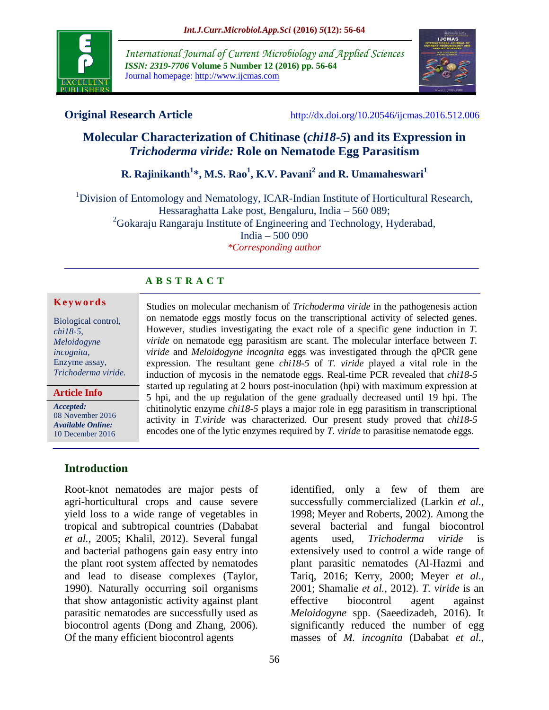

*International Journal of Current Microbiology and Applied Sciences ISSN: 2319-7706* **Volume 5 Number 12 (2016) pp. 56-64** Journal homepage: http://www.ijcmas.com



**Original Research Article** <http://dx.doi.org/10.20546/ijcmas.2016.512.006>

# **Molecular Characterization of Chitinase (***chi18-5***) and its Expression in** *Trichoderma viride:* **Role on Nematode Egg Parasitism**

**R. Rajinikanth<sup>1</sup> \*, M.S. Rao<sup>1</sup> , K.V. Pavani<sup>2</sup> and R. Umamaheswari<sup>1</sup>**

<sup>1</sup>Division of Entomology and Nematology, ICAR-Indian Institute of Horticultural Research, Hessaraghatta Lake post, Bengaluru, India – 560 089;  $^{2}$ Gokaraju Rangaraju Institute of Engineering and Technology, Hyderabad, India – 500 090

*\*Corresponding author*

Studies on molecular mechanism of *Trichoderma viride* in the pathogenesis action on nematode eggs mostly focus on the transcriptional activity of selected genes. However, studies investigating the exact role of a specific gene induction in *T. viride* on nematode egg parasitism are scant. The molecular interface between *T. viride* and *Meloidogyne incognita* eggs was investigated through the qPCR gene expression. The resultant gene *chi18-5* of *T. viride* played a vital role in the

## **A B S T R A C T**

#### **K e y w o r d s**

Biological control, *chi18-5*, *Meloidogyne incognita,* Enzyme assay, *Trichoderma viride.*

**Article Info**

*Accepted:*  08 November 2016 *Available Online:* 10 December 2016

**Introduction**

Root-knot nematodes are major pests of agri-horticultural crops and cause severe yield loss to a wide range of vegetables in tropical and subtropical countries (Dababat *et al.,* 2005; Khalil, 2012). Several fungal and bacterial pathogens gain easy entry into the plant root system affected by nematodes and lead to disease complexes (Taylor, 1990). Naturally occurring soil organisms that show antagonistic activity against plant parasitic nematodes are successfully used as biocontrol agents (Dong and Zhang, 2006). Of the many efficient biocontrol agents

induction of mycosis in the nematode eggs. Real-time PCR revealed that *chi18-5*  started up regulating at 2 hours post-inoculation (hpi) with maximum expression at 5 hpi, and the up regulation of the gene gradually decreased until 19 hpi. The chitinolytic enzyme *chi18-5* plays a major role in egg parasitism in transcriptional activity in *T.viride* was characterized. Our present study proved that *chi18-5*  encodes one of the lytic enzymes required by *T. viride* to parasitise nematode eggs.

identified, only a few of them are successfully commercialized (Larkin *et al.,* 1998; Meyer and Roberts, 2002). Among the several bacterial and fungal biocontrol agents used, *Trichoderma viride* is extensively used to control a wide range of plant parasitic nematodes (Al-Hazmi and Tariq, 2016; Kerry, 2000; Meyer *et al.,* 2001; Shamalie *et al.,* 2012). *T. viride* is an effective biocontrol agent against *Meloidogyne* spp. (Saeedizadeh, 2016). It significantly reduced the number of egg masses of *M. incognita* (Dababat *et al.,*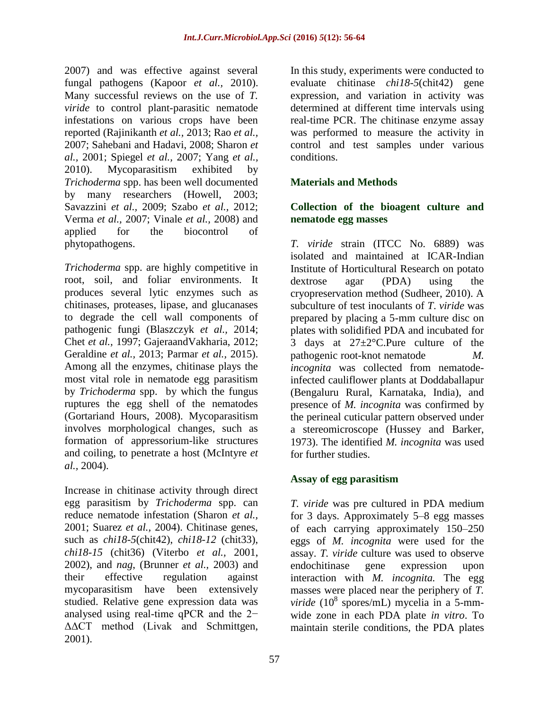2007) and was effective against several fungal pathogens (Kapoor *et al.,* 2010). Many successful reviews on the use of *T. viride* to control plant-parasitic nematode infestations on various crops have been reported (Rajinikanth *et al.,* 2013; Rao *et al.,* 2007; Sahebani and Hadavi, 2008; Sharon *et al.,* 2001; Spiegel *et al.,* 2007; Yang *et al.,* 2010). Mycoparasitism exhibited by *Trichoderma* spp. has been well documented by many researchers (Howell, 2003; Savazzini *et al.,* 2009; Szabo *et al.,* 2012; Verma *et al.,* 2007; Vinale *et al.,* 2008) and applied for the biocontrol of phytopathogens.

*Trichoderma* spp. are highly competitive in root, soil, and foliar environments. It produces several lytic enzymes such as chitinases, proteases, lipase, and glucanases to degrade the cell wall components of pathogenic fungi (Blaszczyk *et al.,* 2014; Chet *et al.,* 1997; GajeraandVakharia, 2012; Geraldine *et al.,* 2013; Parmar *et al.,* 2015). Among all the enzymes, chitinase plays the most vital role in nematode egg parasitism by *Trichoderma* spp. by which the fungus ruptures the egg shell of the nematodes (Gortariand Hours, 2008). Mycoparasitism involves morphological changes, such as formation of appressorium-like structures and coiling, to penetrate a host (McIntyre *et al.,* 2004).

Increase in chitinase activity through direct egg parasitism by *Trichoderma* spp. can reduce nematode infestation (Sharon *et al.,* 2001; Suarez *et al.,* 2004). Chitinase genes, such as *chi18-5*(chit42), *chi18-12* (chit33), *chi18-15* (chit36) (Viterbo *et al.,* 2001, 2002), and *nag*, (Brunner *et al.,* 2003) and their effective regulation against mycoparasitism have been extensively studied. Relative gene expression data was analysed using real-time qPCR and the 2− ΔΔCT method (Livak and Schmittgen, 2001).

In this study, experiments were conducted to evaluate chitinase *chi18-5*(chit42) gene expression, and variation in activity was determined at different time intervals using real-time PCR. The chitinase enzyme assay was performed to measure the activity in control and test samples under various conditions.

## **Materials and Methods**

## **Collection of the bioagent culture and nematode egg masses**

*T. viride* strain (ITCC No. 6889) was isolated and maintained at ICAR-Indian Institute of Horticultural Research on potato dextrose agar (PDA) using the cryopreservation method (Sudheer, 2010). A subculture of test inoculants of *T*. *viride* was prepared by placing a 5-mm culture disc on plates with solidified PDA and incubated for 3 days at  $27 \pm 2^{\circ}$ C. Pure culture of the pathogenic root-knot nematode *M. incognita* was collected from nematodeinfected cauliflower plants at Doddaballapur (Bengaluru Rural, Karnataka, India), and presence of *M. incognita* was confirmed by the perineal cuticular pattern observed under a stereomicroscope (Hussey and Barker, 1973). The identified *M. incognita* was used for further studies.

## **Assay of egg parasitism**

*T. viride* was pre cultured in PDA medium for 3 days. Approximately 5–8 egg masses of each carrying approximately 150–250 eggs of *M. incognita* were used for the assay. *T. viride* culture was used to observe endochitinase gene expression upon interaction with *M. incognita.* The egg masses were placed near the periphery of *T. viride* (10<sup>8</sup> spores/mL) mycelia in a 5-mmwide zone in each PDA plate *in vitro*. To maintain sterile conditions, the PDA plates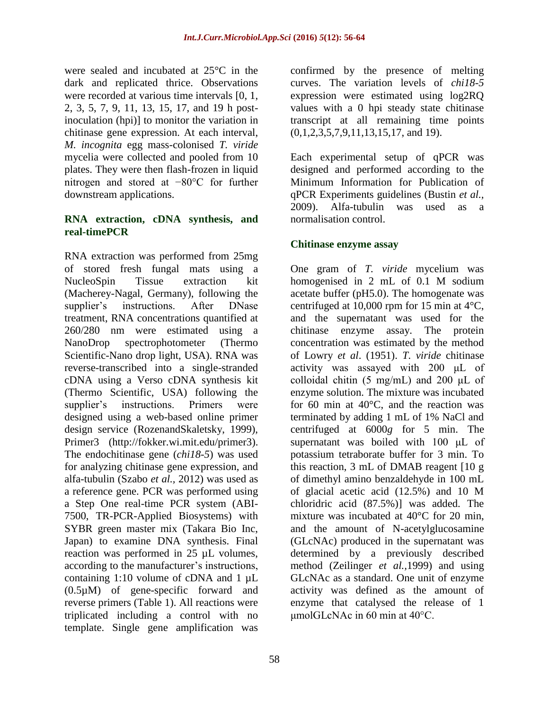were sealed and incubated at 25°C in the dark and replicated thrice. Observations were recorded at various time intervals [0, 1, 2, 3, 5, 7, 9, 11, 13, 15, 17, and 19 h postinoculation (hpi)] to monitor the variation in chitinase gene expression. At each interval, *M. incognita* egg mass-colonised *T. viride* mycelia were collected and pooled from 10 plates. They were then flash-frozen in liquid nitrogen and stored at −80°C for further downstream applications.

#### **RNA extraction, cDNA synthesis, and real-timePCR**

RNA extraction was performed from 25mg of stored fresh fungal mats using a NucleoSpin Tissue extraction kit (Macherey-Nagal, Germany), following the supplier's instructions. After DNase treatment, RNA concentrations quantified at 260/280 nm were estimated using a NanoDrop spectrophotometer (Thermo Scientific-Nano drop light, USA). RNA was reverse-transcribed into a single-stranded cDNA using a Verso cDNA synthesis kit (Thermo Scientific, USA) following the supplier's instructions. Primers were designed using a web-based online primer design service (RozenandSkaletsky, 1999), Primer3 [\(http://fokker.wi.mit.edu/primer3\)](http://fokker.wi.mit.edu/primer3). The endochitinase gene (*chi18-5*) was used for analyzing chitinase gene expression, and alfa-tubulin (Szabo *et al.,* 2012) was used as a reference gene. PCR was performed using a Step One real-time PCR system (ABI-7500, TR-PCR-Applied Biosystems) with SYBR green master mix (Takara Bio Inc, Japan) to examine DNA synthesis. Final reaction was performed in 25 µL volumes, according to the manufacturer's instructions, containing 1:10 volume of cDNA and 1 µL (0.5µM) of gene-specific forward and reverse primers (Table 1). All reactions were triplicated including a control with no template. Single gene amplification was

58

confirmed by the presence of melting curves. The variation levels of *chi18-5* expression were estimated using log2RQ values with a 0 hpi steady state chitinase transcript at all remaining time points (0,1,2,3,5,7,9,11,13,15,17, and 19).

Each experimental setup of qPCR was designed and performed according to the Minimum Information for Publication of qPCR Experiments guidelines (Bustin *et al.,* 2009). Alfa-tubulin was used as a normalisation control.

## **Chitinase enzyme assay**

One gram of *T. viride* mycelium was homogenised in 2 mL of 0.1 M sodium acetate buffer (pH5.0). The homogenate was centrifuged at 10,000 rpm for 15 min at 4°C, and the supernatant was used for the chitinase enzyme assay. The protein concentration was estimated by the method of Lowry *et al*. (1951). *T. viride* chitinase activity was assayed with 200 μL of colloidal chitin (5 mg/mL) and 200  $\mu$ L of enzyme solution. The mixture was incubated for 60 min at  $40^{\circ}$ C, and the reaction was terminated by adding 1 mL of 1% NaCl and centrifuged at 6000*g* for 5 min. The supernatant was boiled with 100 μL of potassium tetraborate buffer for 3 min. To this reaction, 3 mL of DMAB reagent [10 g of dimethyl amino benzaldehyde in 100 mL of glacial acetic acid (12.5%) and 10 M chloridric acid (87.5%)] was added. The mixture was incubated at 40°C for 20 min, and the amount of N-acetylglucosamine (GLcNAc) produced in the supernatant was determined by a previously described method (Zeilinger *et al.,*1999) and using GLcNAc as a standard. One unit of enzyme activity was defined as the amount of enzyme that catalysed the release of 1 μmolGLcNAc in 60 min at 40°C.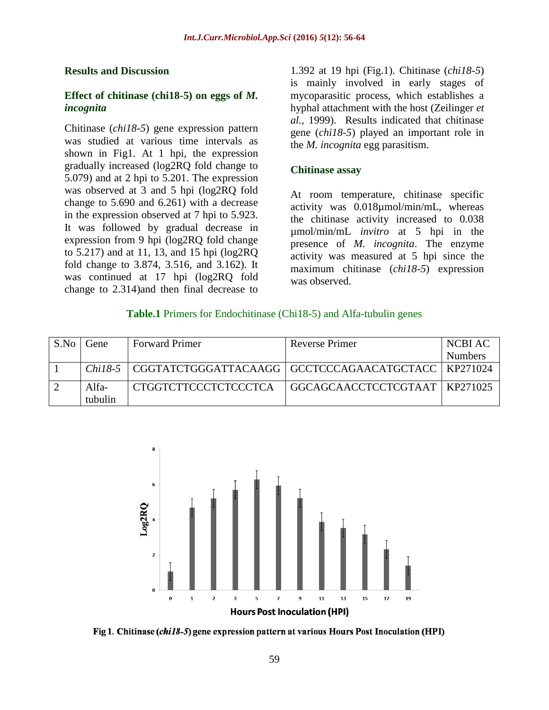#### **Results and Discussion**

#### **Effect of chitinase (chi18-5) on eggs of** *M. incognita*

Chitinase (*chi18-5*) gene expression pattern was studied at various time intervals as shown in Fig1. At 1 hpi, the expression gradually increased (log2RQ fold change to 5.079) and at 2 hpi to 5.201. The expression was observed at 3 and 5 hpi (log2RQ fold change to 5.690 and 6.261) with a decrease in the expression observed at 7 hpi to 5.923. It was followed by gradual decrease in expression from 9 hpi (log2RQ fold change to 5.217) and at 11, 13, and 15 hpi (log2RQ fold change to 3.874, 3.516, and 3.162). It was continued at 17 hpi (log2RQ fold change to 2.314)and then final decrease to

1.392 at 19 hpi (Fig.1). Chitinase (*chi18-5*) is mainly involved in early stages of mycoparasitic process, which establishes a hyphal attachment with the host (Zeilinger *et al.,* 1999). Results indicated that chitinase gene (*chi18-5*) played an important role in the *M. incognita* egg parasitism.

#### **Chitinase assay**

At room temperature, chitinase specific activity was 0.018µmol/min/mL, whereas the chitinase activity increased to 0.038 µmol/min/mL *invitro* at 5 hpi in the presence of *M. incognita*. The enzyme activity was measured at 5 hpi since the maximum chitinase (*chi18-5*) expression was observed.

#### **Table.1** Primers for Endochitinase (Chi18-5) and Alfa-tubulin genes

| S.No Gene | <b>Forward Primer</b>                                            | Reverse Primer                  | NCBI AC        |
|-----------|------------------------------------------------------------------|---------------------------------|----------------|
|           |                                                                  |                                 | <b>Numbers</b> |
|           | Chil8-5   CGGTATCTGGGATTACAAGG   GCCTCCCAGAACATGCTACC   KP271024 |                                 |                |
| Alfa-     | CTGGTCTTCCCTCTCCCTCA                                             | GGCAGCAACCTCCTCGTAAT   KP271025 |                |
| tubulin   |                                                                  |                                 |                |



Fig 1. Chitinase (chi18-5) gene expression pattern at various Hours Post Inoculation (HPI)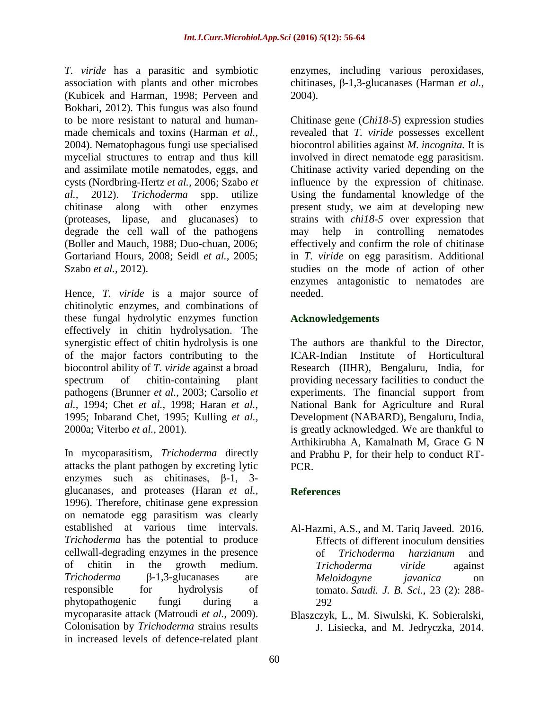*T. viride* has a parasitic and symbiotic association with plants and other microbes (Kubicek and Harman, 1998; Perveen and Bokhari, 2012). This fungus was also found to be more resistant to natural and humanmade chemicals and toxins (Harman *et al.,* 2004). Nematophagous fungi use specialised mycelial structures to entrap and thus kill and assimilate motile nematodes, eggs, and cysts (Nordbring-Hertz *et al.,* 2006; Szabo *et al.,* 2012). *Trichoderma* spp. utilize chitinase along with other enzymes (proteases, lipase, and glucanases) to degrade the cell wall of the pathogens (Boller and Mauch, 1988; Duo-chuan, 2006; Gortariand Hours, 2008; Seidl *et al.,* 2005; Szabo *et al.,* 2012).

Hence, *T. viride* is a major source of chitinolytic enzymes, and combinations of these fungal hydrolytic enzymes function effectively in chitin hydrolysation. The synergistic effect of chitin hydrolysis is one of the major factors contributing to the biocontrol ability of *T. viride* against a broad spectrum of chitin-containing plant pathogens (Brunner *et al.,* 2003; Carsolio *et al.,* 1994; Chet *et al.,* 1998; Haran *et al.,* 1995; Inbarand Chet, 1995; Kulling *et al.,* 2000a; Viterbo *et al.,* 2001).

In mycoparasitism, *Trichoderma* directly attacks the plant pathogen by excreting lytic enzymes such as chitinases, β-1, 3 glucanases, and proteases (Haran *et al.,* 1996). Therefore, chitinase gene expression on nematode egg parasitism was clearly established at various time intervals. *Trichoderma* has the potential to produce cellwall-degrading enzymes in the presence of chitin in the growth medium. *Trichoderma* β-1,3-glucanases are responsible for hydrolysis of phytopathogenic fungi during a mycoparasite attack (Matroudi *et al.,* 2009). Colonisation by *Trichoderma* strains results in increased levels of defence-related plant

enzymes, including various peroxidases, chitinases, β-1,3-glucanases (Harman *et al.,* 2004).

Chitinase gene (*Chi18-5*) expression studies revealed that *T. viride* possesses excellent biocontrol abilities against *M. incognita.* It is involved in direct nematode egg parasitism. Chitinase activity varied depending on the influence by the expression of chitinase. Using the fundamental knowledge of the present study, we aim at developing new strains with *chi18-5* over expression that may help in controlling nematodes effectively and confirm the role of chitinase in *T. viride* on egg parasitism. Additional studies on the mode of action of other enzymes antagonistic to nematodes are needed.

## **Acknowledgements**

The authors are thankful to the Director, ICAR-Indian Institute of Horticultural Research (IIHR), Bengaluru, India, for providing necessary facilities to conduct the experiments. The financial support from National Bank for Agriculture and Rural Development (NABARD), Bengaluru, India, is greatly acknowledged. We are thankful to Arthikirubha A, Kamalnath M, Grace G N and Prabhu P, for their help to conduct RT-PCR.

## **References**

Al-Hazmi, A.S., and M. Tariq Javeed. 2016. Effects of different inoculum densities of *Trichoderma harzianum* and *Trichoderma viride* against *Meloidogyne javanica* on tomato. *Saudi. J. B. Sci.,* 23 (2): 288- 292

Blaszczyk, L., M. Siwulski, K. Sobieralski, J. Lisiecka, and M. Jedryczka, 2014.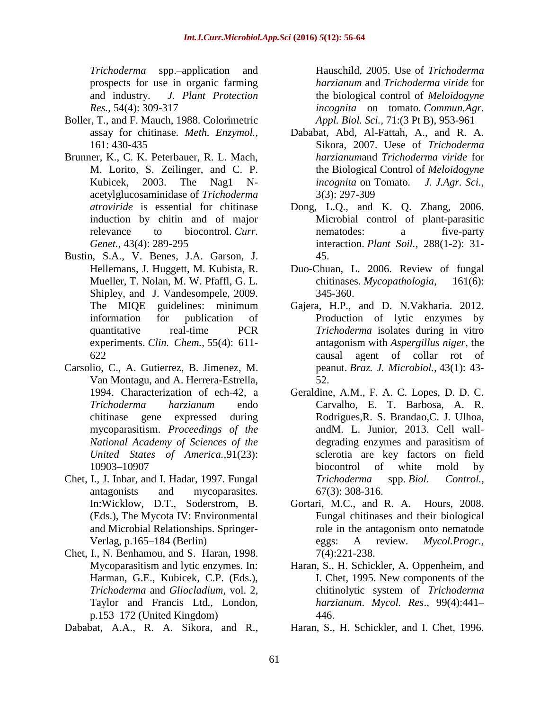*Trichoderma* spp.–application and prospects for use in organic farming and industry. *J. Plant Protection Res.,* 54(4): 309-317

- Boller, T., and F. Mauch, 1988. Colorimetric assay for chitinase. *Meth. Enzymol.,* 161: 430-435
- Brunner, K., C. K. Peterbauer, R. L. Mach, M. Lorito, S. Zeilinger, and C. P. Kubicek, 2003. The Nag1 Nacetylglucosaminidase of *Trichoderma atroviride* is essential for chitinase induction by chitin and of major relevance to biocontrol. *Curr. Genet.,* 43(4): 289-295
- Bustin, S.A., V. Benes, J.A. Garson, J. Hellemans, J. Huggett, M. Kubista, R. Mueller, T. Nolan, M. W. Pfaffl, G. L. Shipley, and J. Vandesompele, 2009. The MIQE guidelines: minimum information for publication of quantitative real-time PCR experiments. *Clin. Chem.,* 55(4): 611- 622
- Carsolio, C., A. Gutierrez, B. Jimenez, M. Van Montagu, and A. Herrera-Estrella, 1994. Characterization of ech-42, a *Trichoderma harzianum* endo chitinase gene expressed during mycoparasitism. *Proceedings of the National Academy of Sciences of the United States of America.,*91(23): 10903–10907
- Chet, I., J. Inbar, and I. Hadar, 1997. Fungal antagonists and mycoparasites. In:Wicklow, D.T., Soderstrom, B. (Eds.), The Mycota IV: Environmental and Microbial Relationships. Springer-Verlag, p.165–184 (Berlin)
- Chet, I., N. Benhamou, and S. Haran, 1998. Mycoparasitism and lytic enzymes. In: Harman, G.E., Kubicek, C.P. (Eds.), *Trichoderma* and *Gliocladium,* vol. 2, Taylor and Francis Ltd., London, p.153–172 (United Kingdom)
- Dababat, A.A., R. A. Sikora, and R.,

Hauschild, 2005. Use of *Trichoderma harzianum* and *Trichoderma viride* for the biological control of *Meloidogyne incognita* on tomato. *Commun.Agr. Appl. Biol. Sci.,* 71:(3 Pt B), 953-961

- Dababat, Abd, Al-Fattah, A., and R. A. Sikora, 2007. Uese of *Trichoderma harzianum*and *Trichoderma viride* for the Biological Control of *Meloidogyne incognita* on Tomato*. J. J.Agr. Sci.,* 3(3): 297-309
- Dong, L.Q., and K. Q. Zhang, 2006. Microbial control of plant-parasitic nematodes: a five-party interaction. *Plant Soil.,* 288(1-2): 31- 45.
- Duo-Chuan, L. 2006. Review of fungal chitinases. *Mycopathologia*, 161(6): 345-360.
- Gajera, H.P., and D. N.Vakharia. 2012. Production of lytic enzymes by *Trichoderma* isolates during in vitro antagonism with *Aspergillus niger*, the causal agent of collar rot of peanut. *Braz. J. Microbiol.,* 43(1): 43- 52.
- Geraldine, A.M., F. A. C. Lopes, D. D. C. Carvalho, E. T. Barbosa, A. R. Rodrigues,R. S. Brandao,C. J. Ulhoa, andM. L. Junior, 2013. Cell walldegrading enzymes and parasitism of sclerotia are key factors on field biocontrol of white mold by *Trichoderma* spp. *Biol. Control.,* 67(3): 308-316.
- Gortari, M.C., and R. A. Hours, 2008. Fungal chitinases and their biological role in the antagonism onto nematode eggs: A review. *Mycol.Progr.,* 7(4):221-238.
- Haran, S., H. Schickler, A. Oppenheim, and I. Chet, 1995. New components of the chitinolytic system of *Trichoderma harzianum*. *Mycol. Res*., 99(4):441– 446.
- Haran, S., H. Schickler, and I. Chet, 1996.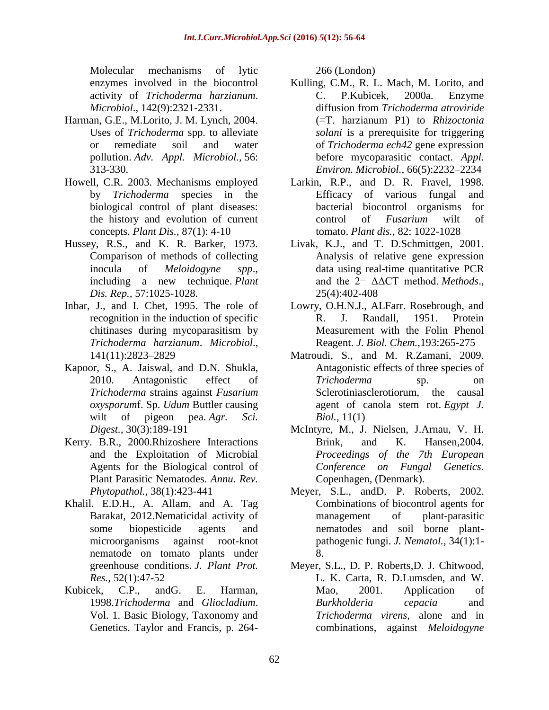Molecular mechanisms of lytic enzymes involved in the biocontrol activity of *Trichoderma harzianum*. *Microbiol*., 142(9):2321-2331.

- Harman, G.E., M.Lorito, J. M. Lynch, 2004. Uses of *Trichoderma* spp. to alleviate or remediate soil and water pollution. *Adv. Appl. Microbiol.,* 56: 313-330.
- Howell, C.R. 2003. Mechanisms employed by *Trichoderma* species in the biological control of plant diseases: the history and evolution of current concepts. *Plant Dis.,* 87(1): 4-10
- Hussey, R.S., and K. R. Barker, 1973. Comparison of methods of collecting inocula of *Meloidogyne spp*., including a new technique. *Plant Dis. Rep.,* 57:1025-1028.
- Inbar, J., and I. Chet, 1995. The role of recognition in the induction of specific chitinases during mycoparasitism by *Trichoderma harzianum*. *Microbiol*., 141(11):2823–2829
- Kapoor, S., A. Jaiswal, and D.N. Shukla, 2010. Antagonistic effect of *Trichoderma* strains against *Fusarium oxysporum*f. Sp. *Udum* Buttler causing wilt of pigeon pea. *Agr. Sci. Digest.,* 30(3):189-191
- Kerry. B.R., 2000.Rhizoshere Interactions and the Exploitation of Microbial Agents for the Biological control of Plant Parasitic Nematodes. *Annu. Rev. Phytopathol.,* 38(1):423-441
- Khalil. E.D.H., A. Allam, and A. Tag Barakat, 2012.Nematicidal activity of some biopesticide agents and microorganisms against root-knot nematode on tomato plants under greenhouse conditions. *J. Plant Prot. Res.,* 52(1):47-52
- Kubicek, C.P., andG. E. Harman, 1998.*Trichoderma* and *Gliocladium*. Vol. 1. Basic Biology, Taxonomy and Genetics. Taylor and Francis, p. 264-

266 (London)

- Kulling, C.M., R. L. Mach, M. Lorito, and C. P.Kubicek, 2000a. Enzyme diffusion from *Trichoderma atroviride* (=T. harzianum P1) to *Rhizoctonia solani* is a prerequisite for triggering of *Trichoderma ech42* gene expression before mycoparasitic contact. *Appl. Environ. Microbiol.,* 66(5):2232–2234
- Larkin, R.P., and D. R. Fravel, 1998. Efficacy of various fungal and bacterial biocontrol organisms for control of *Fusarium* wilt of tomato. *Plant dis.,* 82: 1022-1028
- Livak, K.J., and T. D.Schmittgen, 2001. Analysis of relative gene expression data using real-time quantitative PCR and the 2− ΔΔCT method. *Methods*., 25(4):402-408
- Lowry, O.H.N.J., ALFarr. Rosebrough, and R. J. Randall, 1951. Protein Measurement with the Folin Phenol Reagent. *J. Biol. Chem.,*193:265-275
- Matroudi, S., and M. R.Zamani, 2009. Antagonistic effects of three species of *Trichoderma* sp. on Sclerotiniasclerotiorum, the causal agent of canola stem rot. *Egypt J. Biol.,* 11(1)
- McIntyre, M., J. Nielsen, J.Arnau, V. H. Brink, and K. Hansen,2004. *Proceedings of the 7th European Conference on Fungal Genetics*. Copenhagen, (Denmark).
- Meyer, S.L., andD. P. Roberts, 2002. Combinations of biocontrol agents for management of plant-parasitic nematodes and soil borne plantpathogenic fungi. *J. Nematol.,* 34(1):1- 8.
- Meyer, S.L., D. P. Roberts,D. J. Chitwood, L. K. Carta, R. D.Lumsden, and W. Mao, 2001. Application of *Burkholderia cepacia* and *Trichoderma virens*, alone and in combinations, against *Meloidogyne*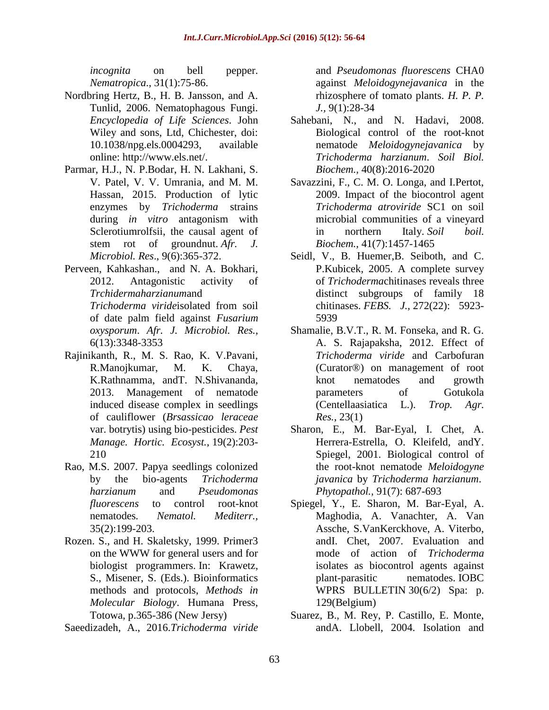*incognita* on bell pepper. *Nematropica*., 31(1):75-86.

- Nordbring Hertz, B., H. B. Jansson, and A. Tunlid, 2006. Nematophagous Fungi. *Encyclopedia of Life Sciences*. John Wiley and sons, Ltd, Chichester, doi: 10.1038/npg.els.0004293, available online: [http://www.els.net/.](http://www.els.net/)
- Parmar, H.J., N. P.Bodar, H. N. Lakhani, S. V. Patel, V. V. Umrania, and M. M. Hassan, 2015. Production of lytic enzymes by *Trichoderma* strains during *in vitro* antagonism with Sclerotiumrolfsii, the causal agent of stem rot of groundnut. *Afr. J. Microbiol. Res*., 9(6):365-372.
- Perveen, Kahkashan., and N. A. Bokhari, 2012. Antagonistic activity of *Trchidermaharzianum*and *Trichoderma viride*isolated from soil of date palm field against *Fusarium oxysporum*. *Afr. J. Microbiol. Res.,* 6(13):3348-3353
- Rajinikanth, R., M. S. Rao, K. V.Pavani, R.Manojkumar, M. K. Chaya, K.Rathnamma, andT. N.Shivananda, 2013. Management of nematode induced disease complex in seedlings of cauliflower (*Brsassicao leraceae* var. botrytis) using bio-pesticides. *Pest Manage. Hortic. Ecosyst.,* 19(2):203- 210
- Rao, M.S. 2007. Papya seedlings colonized by the bio-agents *Trichoderma harzianum* and *Pseudomonas fluorescens* to control root-knot nematodes*. Nematol. Mediterr.,* 35(2):199-203.
- Rozen. S., and H. Skaletsky, 1999. Primer3 on the WWW for general users and for biologist programmers. In: Krawetz, S., Misener, S. (Eds.). Bioinformatics methods and protocols, *Methods in Molecular Biology*. Humana Press, Totowa, p.365-386 (New Jersy)

Saeedizadeh, A., 2016.*Trichoderma viride*

and *Pseudomonas fluorescens* CHA0 against *Meloidogynejavanica* in the rhizosphere of tomato plants. *H. P. P. J.,* 9(1):28-34

- Sahebani, N., and N. Hadavi, 2008. Biological control of the root-knot nematode *Meloidogynejavanica* by *Trichoderma harzianum*. *Soil Biol. Biochem.,* 40(8):2016-2020
- Savazzini, F., C. M. O. Longa, and I.Pertot, 2009. Impact of the biocontrol agent *Trichoderma atroviride* SC1 on soil microbial communities of a vineyard in northern Italy. *Soil boil. Biochem.,* 41(7):1457-1465
- Seidl, V., B. Huemer,B. Seiboth, and C. P.Kubicek, 2005. A complete survey of *Trichoderma*chitinases reveals three distinct subgroups of family 18 chitinases. *FEBS. J.,* 272(22): 5923- 5939
- Shamalie, B.V.T., R. M. Fonseka, and R. G. A. S. Rajapaksha, 2012. Effect of *Trichoderma viride* and Carbofuran (Curator®) on management of root knot nematodes and growth parameters of Gotukola (Centellaasiatica L.). *Trop. Agr. Res.,* 23(1)
- Sharon, E., M. Bar-Eyal, I. Chet, A. Herrera-Estrella, O. Kleifeld, andY. Spiegel, 2001. Biological control of the root-knot nematode *Meloidogyne javanica* by *Trichoderma harzianum*. *Phytopathol.,* 91(7): 687-693
- Spiegel, Y., E. Sharon, M. Bar-Eyal, A. Maghodia, A. Vanachter, A. Van Assche, S.VanKerckhove, A. Viterbo, andI. Chet, 2007. Evaluation and mode of action of *Trichoderma*  isolates as biocontrol agents against plant-parasitic nematodes. IOBC WPRS BULLETIN 30(6/2) Spa: p. 129(Belgium)
- Suarez, B., M. Rey, P. Castillo, E. Monte, andA. Llobell, 2004. Isolation and